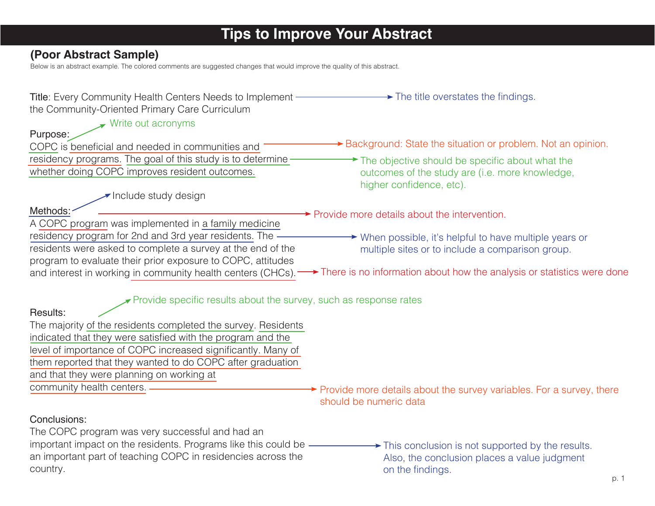# **Tips to Improve Your Abstract**

# **(Poor Abstract Sample)**

Below is an abstract example. The colored comments are suggested changes that would improve the quality of this abstract.

| Title: Every Community Health Centers Needs to Implement —<br>the Community-Oriented Primary Care Curriculum  | $\rightarrow$ The title overstates the findings.                                                 |
|---------------------------------------------------------------------------------------------------------------|--------------------------------------------------------------------------------------------------|
| $\blacktriangleright$ Write out acronyms<br>Purpose:                                                          |                                                                                                  |
| COPC is beneficial and needed in communities and                                                              | ► Background: State the situation or problem. Not an opinion.                                    |
| residency programs. The goal of this study is to determine-<br>whether doing COPC improves resident outcomes. | $\rightarrow$ The objective should be specific about what the                                    |
|                                                                                                               | outcomes of the study are (i.e. more knowledge,<br>higher confidence, etc).                      |
| $\blacktriangleright$ Include study design                                                                    |                                                                                                  |
| Methods:<br>A COPC program was implemented in a family medicine                                               | $\rightarrow$ Provide more details about the intervention.                                       |
| residency program for 2nd and 3rd year residents. The -                                                       | $\rightarrow$ When possible, it's helpful to have multiple years or                              |
| residents were asked to complete a survey at the end of the                                                   | multiple sites or to include a comparison group.                                                 |
| program to evaluate their prior exposure to COPC, attitudes                                                   | There is no information about how the analysis or statistics were done                           |
| and interest in working in community health centers (CHCs).                                                   |                                                                                                  |
| $\blacktriangleright$ Provide specific results about the survey, such as response rates                       |                                                                                                  |
| Results:                                                                                                      |                                                                                                  |
| The majority of the residents completed the survey. Residents                                                 |                                                                                                  |
| indicated that they were satisfied with the program and the                                                   |                                                                                                  |
| level of importance of COPC increased significantly. Many of                                                  |                                                                                                  |
| them reported that they wanted to do COPC after graduation                                                    |                                                                                                  |
| and that they were planning on working at                                                                     |                                                                                                  |
| community health centers. -                                                                                   | → Provide more details about the survey variables. For a survey, there<br>should be numeric data |
| Conclusions:                                                                                                  |                                                                                                  |
| The COPC program was very successful and had an                                                               |                                                                                                  |
| important impact on the residents. Programs like this could be -                                              | $\rightarrow$ This conclusion is not supported by the results.                                   |
| an important part of teaching COPC in residencies across the                                                  | Also, the conclusion places a value judgment                                                     |
| country.                                                                                                      | on the findings.<br>p. 1                                                                         |